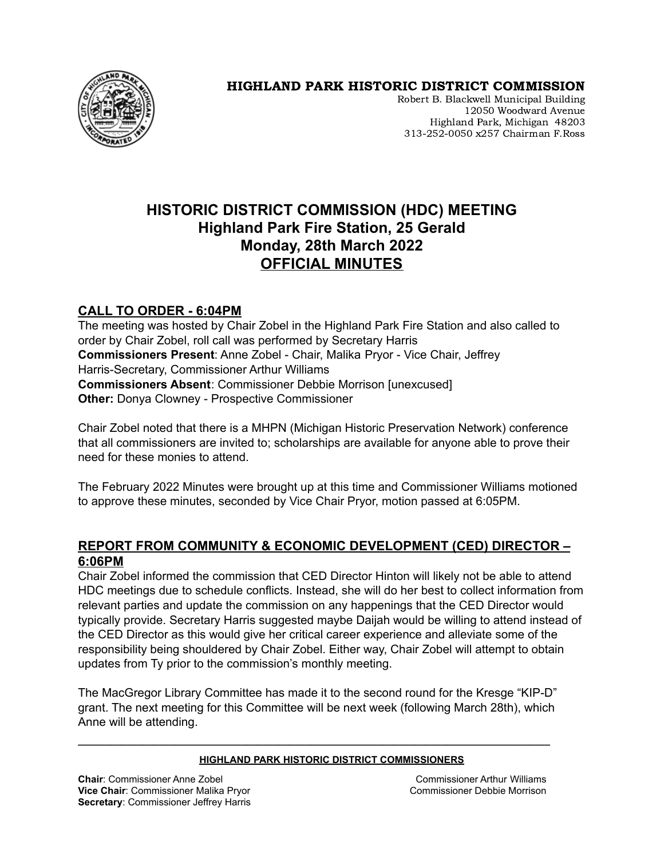

## HIGHLAND PARK HISTORIC DISTRICT COMMISSION

Robert B. Blackwell Municipal Building 12050 Woodward Avenue Highland Park, Michigan 48203 313-252-0050 x257 Chairman F.Ross

# **HISTORIC DISTRICT COMMISSION (HDC) MEETING Highland Park Fire Station, 25 Gerald Monday, 28th March 2022 OFFICIAL MINUTES**

## **CALL TO ORDER - 6:04PM**

The meeting was hosted by Chair Zobel in the Highland Park Fire Station and also called to order by Chair Zobel, roll call was performed by Secretary Harris **Commissioners Present**: Anne Zobel - Chair, Malika Pryor - Vice Chair, Jeffrey Harris-Secretary, Commissioner Arthur Williams **Commissioners Absent**: Commissioner Debbie Morrison [unexcused] **Other:** Donya Clowney - Prospective Commissioner

Chair Zobel noted that there is a MHPN (Michigan Historic Preservation Network) conference that all commissioners are invited to; scholarships are available for anyone able to prove their need for these monies to attend.

The February 2022 Minutes were brought up at this time and Commissioner Williams motioned to approve these minutes, seconded by Vice Chair Pryor, motion passed at 6:05PM.

## **REPORT FROM COMMUNITY & ECONOMIC DEVELOPMENT (CED) DIRECTOR – 6:06PM**

Chair Zobel informed the commission that CED Director Hinton will likely not be able to attend HDC meetings due to schedule conflicts. Instead, she will do her best to collect information from relevant parties and update the commission on any happenings that the CED Director would typically provide. Secretary Harris suggested maybe Daijah would be willing to attend instead of the CED Director as this would give her critical career experience and alleviate some of the responsibility being shouldered by Chair Zobel. Either way, Chair Zobel will attempt to obtain updates from Ty prior to the commission's monthly meeting.

The MacGregor Library Committee has made it to the second round for the Kresge "KIP-D" grant. The next meeting for this Committee will be next week (following March 28th), which Anne will be attending.

**\_\_\_\_\_\_\_\_\_\_\_\_\_\_\_\_\_\_\_\_\_\_\_\_\_\_\_\_\_\_\_\_\_\_\_\_\_\_\_\_\_\_\_\_\_\_\_\_\_\_\_\_\_\_\_\_\_\_\_\_\_\_\_\_\_\_\_\_\_\_\_\_\_\_\_\_\_\_\_\_\_\_\_\_\_\_\_**

#### **HIGHLAND PARK HISTORIC DISTRICT COMMISSIONERS**